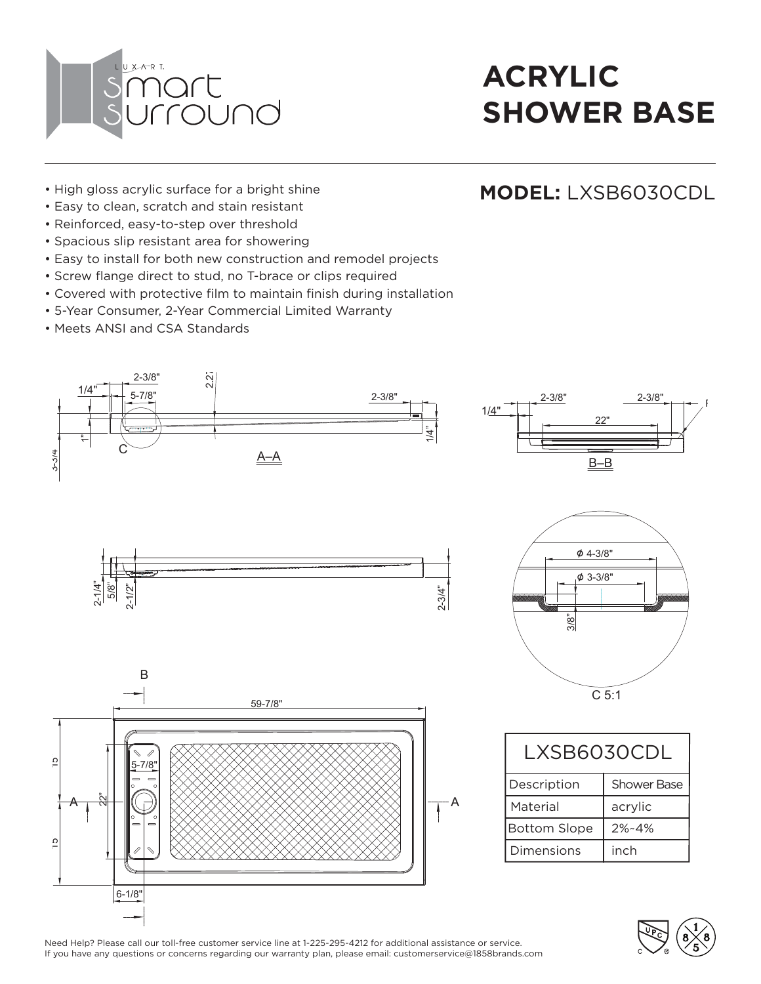

**MODEL:** LXSB6030CDL

- High gloss acrylic surface for a bright shine
- Easy to clean, scratch and stain resistant
- Reinforced, easy-to-step over threshold
- Spacious slip resistant area for showering
- Easy to install for both new construction and remodel projects
- Screw flange direct to stud, no T-brace or clips required
- Covered with protective film to maintain finish during installation
- 5-Year Consumer, 2-Year Commercial Limited Warranty
- Meets ANSI and CSA Standards



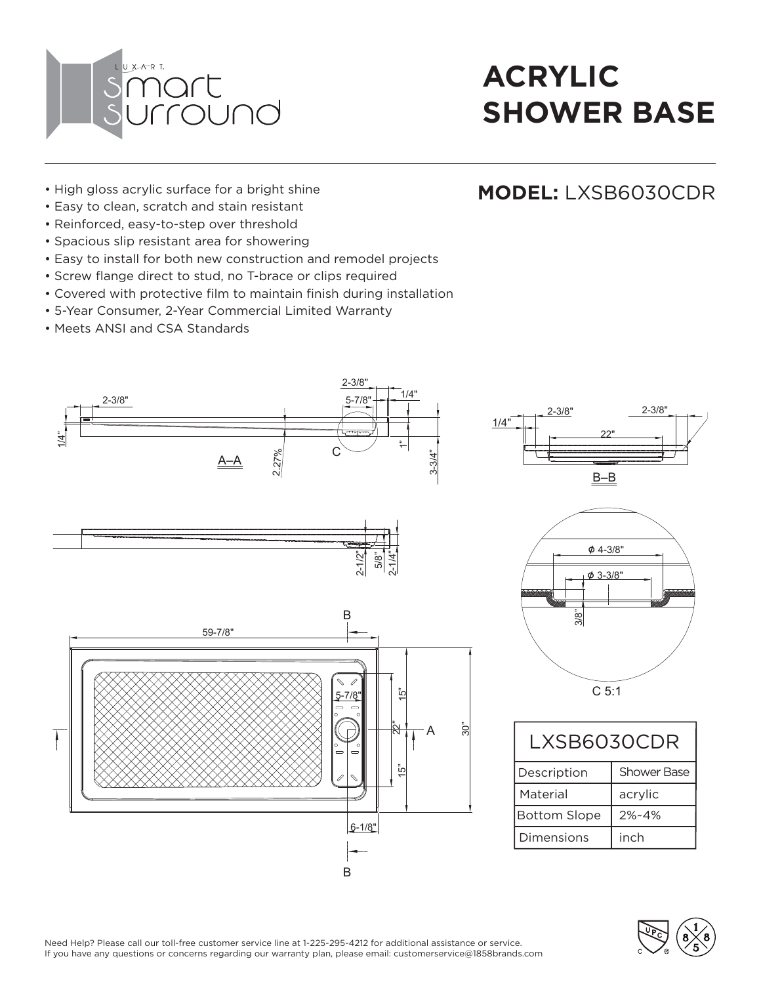

**MODEL:** LXSB6030CDR

- High gloss acrylic surface for a bright shine
- Easy to clean, scratch and stain resistant
- Reinforced, easy-to-step over threshold
- Spacious slip resistant area for showering
- Easy to install for both new construction and remodel projects
- Screw flange direct to stud, no T-brace or clips required
- Covered with protective film to maintain finish during installation
- 5-Year Consumer, 2-Year Commercial Limited Warranty
- Meets ANSI and CSA Standards



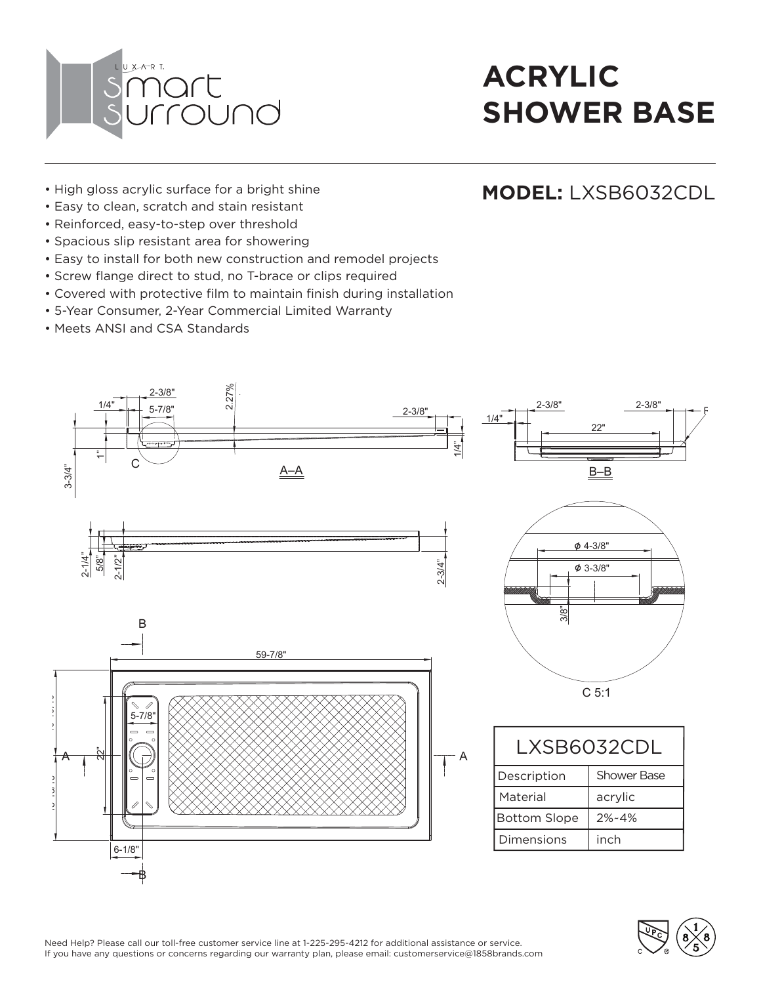

- High gloss acrylic surface for a bright shine
- Easy to clean, scratch and stain resistant
- Reinforced, easy-to-step over threshold
- Spacious slip resistant area for showering
- Easy to install for both new construction and remodel projects
- Screw flange direct to stud, no T-brace or clips required
- Covered with protective film to maintain finish during installation
- 5-Year Consumer, 2-Year Commercial Limited Warranty
- Meets ANSI and CSA Standards



#### **MODEL:** LXSB6032CDL